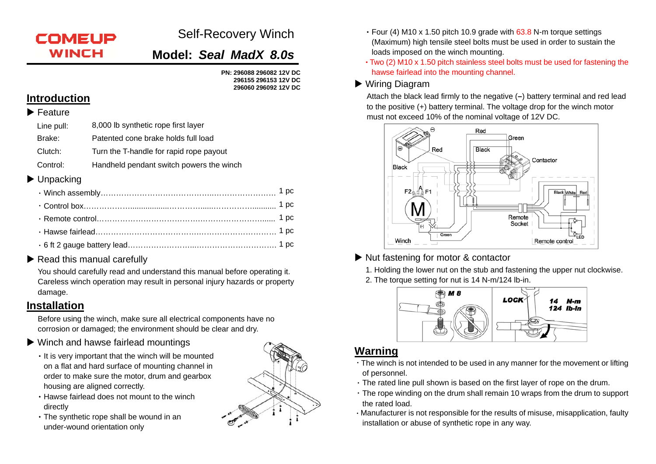# **COMEUP WINCH**

# Self-Recovery Winch

**Model:** *Seal MadX 8.0s*

**PN: 296088 296082 12V DC 296155 296153 12V DC 296060 296092 12V DC** 

### **Introduction**

#### $\blacktriangleright$  Feature

- Line pull: 8,000 lb synthetic rope first layer Brake: Patented cone brake holds full loadClutch:Turn the T-handle for rapid rope payout
- Control:Handheld pendant switch powers the winch

#### ▶ Unpacking

#### Read this manual carefully

You should carefully read and understand this manual before operating it. Careless winch operation may result in personal injury hazards or property damage.

## **Installation**

Before using the winch, make sure all electrical components have no corrosion or damaged; the environment should be clear and dry.

#### Winch and hawse fairlead mountings

- It is very important that the winch will be mounted on a flat and hard surface of mounting channel in order to make sure the motor, drum and gearbox housing are aligned correctly.
- •Hawse fairlead does not mount to the winch directly
- •The synthetic rope shall be wound in an under-wound orientation only



- •Four (4) M10 x 1.50 pitch 10.9 grade with 63.8 N-m torque settings (Maximum) high tensile steel bolts must be used in order to sustain the loads imposed on the winch mounting.
- •Two (2) M10 x 1.50 pitch stainless steel bolts must be used for fastening the hawse fairlead into the mounting channel.

### ▶ Wiring Diagram

Attach the black lead firmly to the negative (**–**) battery terminal and red lead to the positive (+) battery terminal. The voltage drop for the winch motor must not exceed 10% of the nominal voltage of 12V DC.



### ▶ Nut fastening for motor & contactor

1. Holding the lower nut on the stub and fastening the upper nut clockwise. 2. The torque setting for nut is 14 N-m/124 lb-in.



### **Warning**

- .The winch is not intended to be used in any manner for the movement or lifting of personnel.
- .The rated line pull shown is based on the first layer of rope on the drum.
- .The rope winding on the drum shall remain 10 wraps from the drum to support the rated load.
- .Manufacturer is not responsible for the results of misuse, misapplication, faulty installation or abuse of synthetic rope in any way.